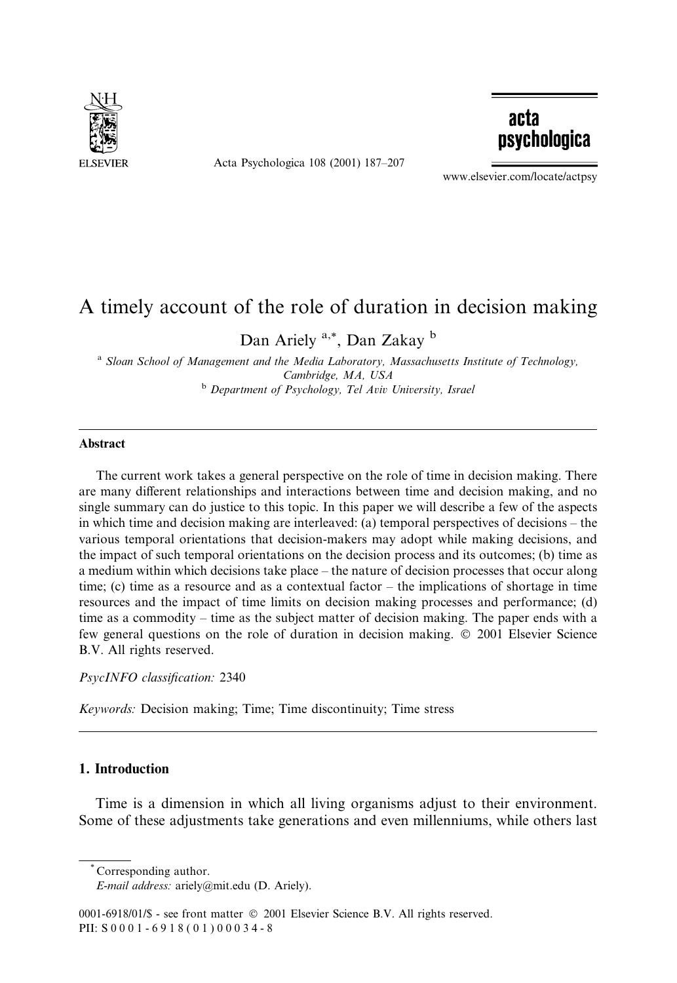

Acta Psychologica 108 (2001) 187-207



www.elsevier.com/locate/actpsy

# A timely account of the role of duration in decision making

Dan Ariely<sup>a,\*</sup>, Dan Zakay<sup>b</sup>

<sup>a</sup> Sloan School of Management and the Media Laboratory, Massachusetts Institute of Technology, Cambridge, MA, USA <sup>b</sup> Department of Psychology, Tel Aviv University, Israel

# **Abstract**

The current work takes a general perspective on the role of time in decision making. There are many different relationships and interactions between time and decision making, and no single summary can do justice to this topic. In this paper we will describe a few of the aspects in which time and decision making are interleaved: (a) temporal perspectives of decisions – the various temporal orientations that decision-makers may adopt while making decisions, and the impact of such temporal orientations on the decision process and its outcomes; (b) time as a medium within which decisions take place – the nature of decision processes that occur along time; (c) time as a resource and as a contextual factor – the implications of shortage in time resources and the impact of time limits on decision making processes and performance; (d) time as a commodity – time as the subject matter of decision making. The paper ends with a few general questions on the role of duration in decision making. © 2001 Elsevier Science B.V. All rights reserved.

PsycINFO classification: 2340

*Keywords:* Decision making; Time; Time discontinuity; Time stress

# 1. Introduction

Time is a dimension in which all living organisms adjust to their environment. Some of these adjustments take generations and even millenniums, while others last

Corresponding author.

E-mail address: ariely@mit.edu (D. Ariely).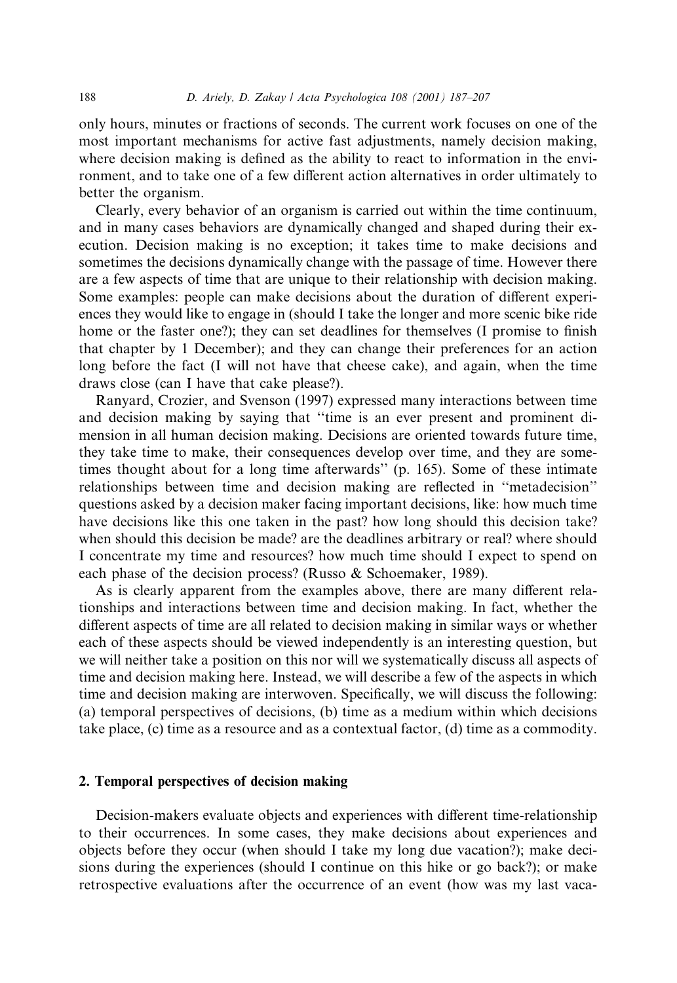only hours, minutes or fractions of seconds. The current work focuses on one of the most important mechanisms for active fast adjustments, namely decision making, where decision making is defined as the ability to react to information in the environment, and to take one of a few different action alternatives in order ultimately to better the organism.

Clearly, every behavior of an organism is carried out within the time continuum, and in many cases behaviors are dynamically changed and shaped during their execution. Decision making is no exception; it takes time to make decisions and sometimes the decisions dynamically change with the passage of time. However there are a few aspects of time that are unique to their relationship with decision making. Some examples: people can make decisions about the duration of different experiences they would like to engage in (should I take the longer and more scenic bike ride home or the faster one?); they can set deadlines for themselves (I promise to finish that chapter by 1 December); and they can change their preferences for an action long before the fact (I will not have that cheese cake), and again, when the time draws close (can I have that cake please?).

Ranyard, Crozier, and Svenson (1997) expressed many interactions between time and decision making by saying that "time is an ever present and prominent dimension in all human decision making. Decisions are oriented towards future time, they take time to make, their consequences develop over time, and they are sometimes thought about for a long time afterwards" (p. 165). Some of these intimate relationships between time and decision making are reflected in "metadecision" questions asked by a decision maker facing important decisions, like: how much time have decisions like this one taken in the past? how long should this decision take? when should this decision be made? are the deadlines arbitrary or real? where should I concentrate my time and resources? how much time should I expect to spend on each phase of the decision process? (Russo & Schoemaker, 1989).

As is clearly apparent from the examples above, there are many different relationships and interactions between time and decision making. In fact, whether the different aspects of time are all related to decision making in similar ways or whether each of these aspects should be viewed independently is an interesting question, but we will neither take a position on this nor will we systematically discuss all aspects of time and decision making here. Instead, we will describe a few of the aspects in which time and decision making are interwoven. Specifically, we will discuss the following: (a) temporal perspectives of decisions, (b) time as a medium within which decisions take place, (c) time as a resource and as a contextual factor, (d) time as a commodity.

## 2. Temporal perspectives of decision making

Decision-makers evaluate objects and experiences with different time-relationship to their occurrences. In some cases, they make decisions about experiences and objects before they occur (when should I take my long due vacation?); make decisions during the experiences (should I continue on this hike or go back?); or make retrospective evaluations after the occurrence of an event (how was my last vaca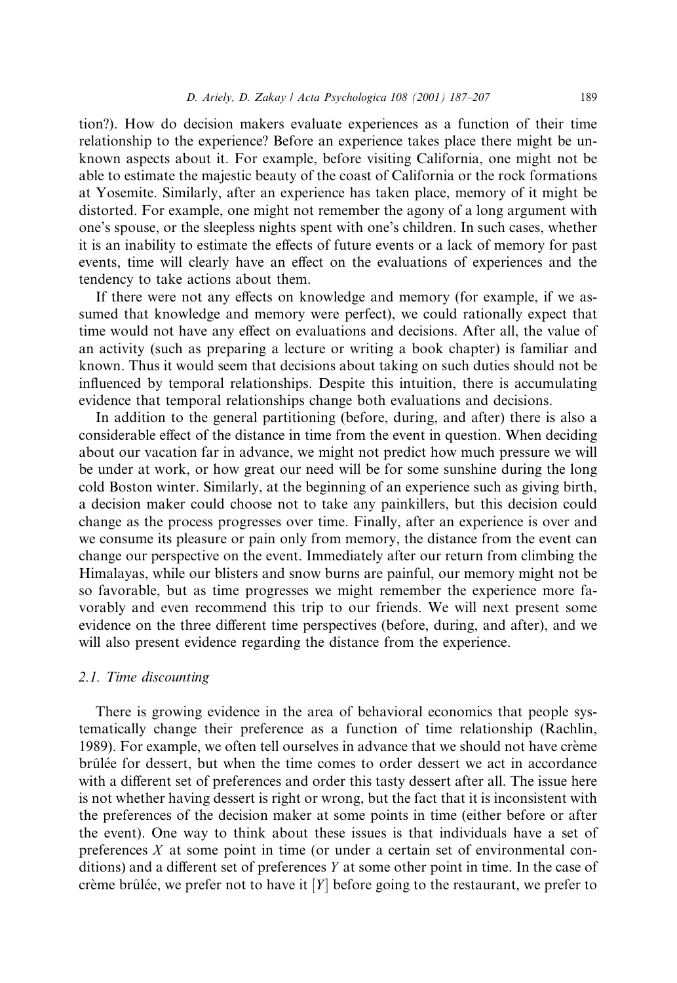tion?). How do decision makers evaluate experiences as a function of their time relationship to the experience? Before an experience takes place there might be unknown aspects about it. For example, before visiting California, one might not be able to estimate the majestic beauty of the coast of California or the rock formations at Yosemite. Similarly, after an experience has taken place, memory of it might be distorted. For example, one might not remember the agony of a long argument with one's spouse, or the sleepless nights spent with one's children. In such cases, whether it is an inability to estimate the effects of future events or a lack of memory for past events, time will clearly have an effect on the evaluations of experiences and the tendency to take actions about them.

If there were not any effects on knowledge and memory (for example, if we assumed that knowledge and memory were perfect), we could rationally expect that time would not have any effect on evaluations and decisions. After all, the value of an activity (such as preparing a lecture or writing a book chapter) is familiar and known. Thus it would seem that decisions about taking on such duties should not be influenced by temporal relationships. Despite this intuition, there is accumulating evidence that temporal relationships change both evaluations and decisions.

In addition to the general partitioning (before, during, and after) there is also a considerable effect of the distance in time from the event in question. When deciding about our vacation far in advance, we might not predict how much pressure we will be under at work, or how great our need will be for some sunshine during the long cold Boston winter. Similarly, at the beginning of an experience such as giving birth, a decision maker could choose not to take any painkillers, but this decision could change as the process progresses over time. Finally, after an experience is over and we consume its pleasure or pain only from memory, the distance from the event can change our perspective on the event. Immediately after our return from climbing the Himalayas, while our blisters and snow burns are painful, our memory might not be so favorable, but as time progresses we might remember the experience more favorably and even recommend this trip to our friends. We will next present some evidence on the three different time perspectives (before, during, and after), and we will also present evidence regarding the distance from the experience.

## 2.1. Time discounting

There is growing evidence in the area of behavioral economics that people systematically change their preference as a function of time relationship (Rachlin, 1989). For example, we often tell ourselves in advance that we should not have crème brûlée for dessert, but when the time comes to order dessert we act in accordance with a different set of preferences and order this tasty dessert after all. The issue here is not whether having dessert is right or wrong, but the fact that it is inconsistent with the preferences of the decision maker at some points in time (either before or after the event). One way to think about these issues is that individuals have a set of preferences  $X$  at some point in time (or under a certain set of environmental conditions) and a different set of preferences  $Y$  at some other point in time. In the case of crème brûlée, we prefer not to have it  $[Y]$  before going to the restaurant, we prefer to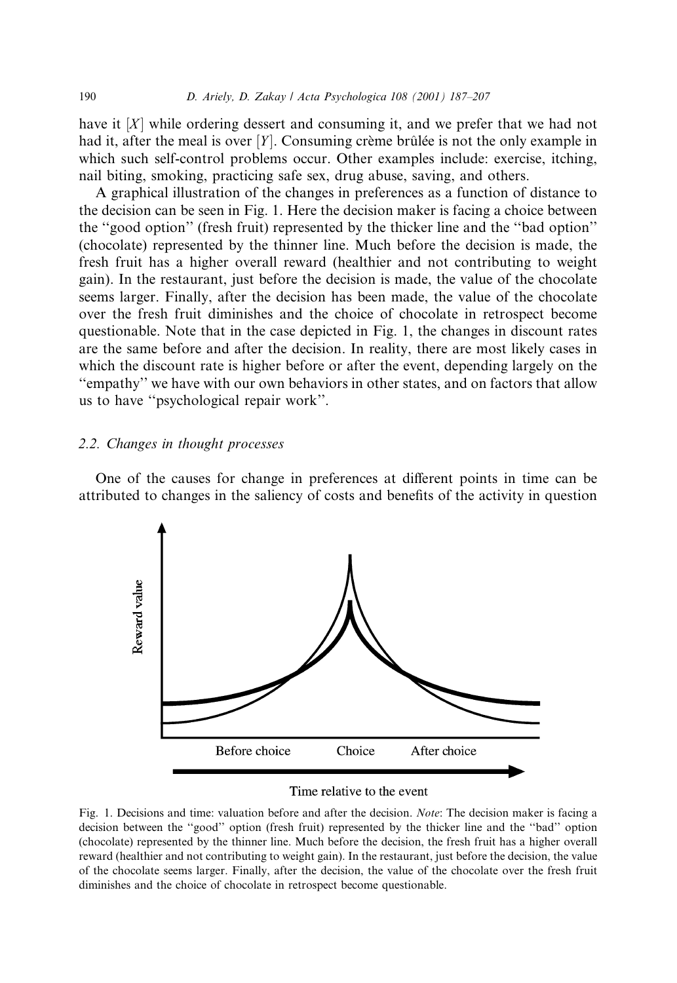have it  $[X]$  while ordering dessert and consuming it, and we prefer that we had not had it, after the meal is over  $[Y]$ . Consuming crème brûlée is not the only example in which such self-control problems occur. Other examples include: exercise, itching, nail biting, smoking, practicing safe sex, drug abuse, saving, and others.

A graphical illustration of the changes in preferences as a function of distance to the decision can be seen in Fig. 1. Here the decision maker is facing a choice between the "good option" (fresh fruit) represented by the thicker line and the "bad option" (chocolate) represented by the thinner line. Much before the decision is made, the fresh fruit has a higher overall reward (healthier and not contributing to weight gain). In the restaurant, just before the decision is made, the value of the chocolate seems larger. Finally, after the decision has been made, the value of the chocolate over the fresh fruit diminishes and the choice of chocolate in retrospect become questionable. Note that in the case depicted in Fig. 1, the changes in discount rates are the same before and after the decision. In reality, there are most likely cases in which the discount rate is higher before or after the event, depending largely on the "empathy" we have with our own behaviors in other states, and on factors that allow us to have "psychological repair work".

#### 2.2. Changes in thought processes

One of the causes for change in preferences at different points in time can be attributed to changes in the saliency of costs and benefits of the activity in question



#### Time relative to the event

Fig. 1. Decisions and time: valuation before and after the decision. Note: The decision maker is facing a decision between the "good" option (fresh fruit) represented by the thicker line and the "bad" option (chocolate) represented by the thinner line. Much before the decision, the fresh fruit has a higher overall reward (healthier and not contributing to weight gain). In the restaurant, just before the decision, the value of the chocolate seems larger. Finally, after the decision, the value of the chocolate over the fresh fruit diminishes and the choice of chocolate in retrospect become questionable.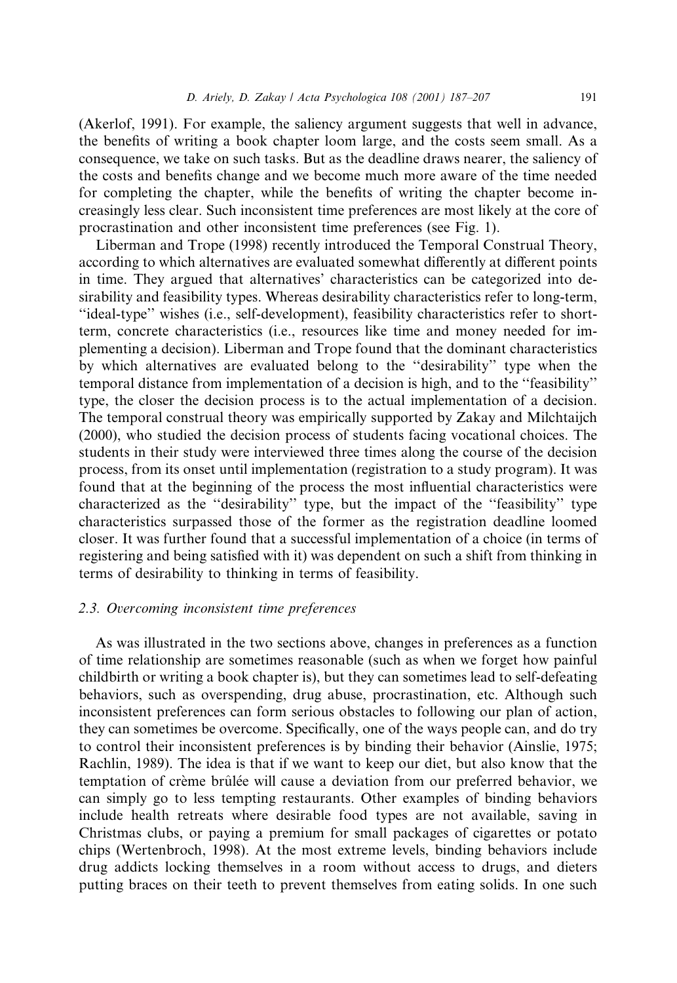(Akerlof, 1991). For example, the saliency argument suggests that well in advance, the benefits of writing a book chapter loom large, and the costs seem small. As a consequence, we take on such tasks. But as the deadline draws nearer, the saliency of the costs and benefits change and we become much more aware of the time needed for completing the chapter, while the benefits of writing the chapter become increasingly less clear. Such inconsistent time preferences are most likely at the core of procrastination and other inconsistent time preferences (see Fig. 1).

Liberman and Trope (1998) recently introduced the Temporal Construal Theory, according to which alternatives are evaluated somewhat differently at different points in time. They argued that alternatives' characteristics can be categorized into desirability and feasibility types. Whereas desirability characteristics refer to long-term, "ideal-type" wishes (i.e., self-development), feasibility characteristics refer to shortterm, concrete characteristics (i.e., resources like time and money needed for implementing a decision). Liberman and Trope found that the dominant characteristics by which alternatives are evaluated belong to the "desirability" type when the temporal distance from implementation of a decision is high, and to the "feasibility" type, the closer the decision process is to the actual implementation of a decision. The temporal construal theory was empirically supported by Zakay and Milchtaijch (2000), who studied the decision process of students facing vocational choices. The students in their study were interviewed three times along the course of the decision process, from its onset until implementation (registration to a study program). It was found that at the beginning of the process the most influential characteristics were characterized as the "desirability" type, but the impact of the "feasibility" type characteristics surpassed those of the former as the registration deadline loomed closer. It was further found that a successful implementation of a choice (in terms of registering and being satisfied with it) was dependent on such a shift from thinking in terms of desirability to thinking in terms of feasibility.

#### 2.3. Overcoming inconsistent time preferences

As was illustrated in the two sections above, changes in preferences as a function of time relationship are sometimes reasonable (such as when we forget how painful childbirth or writing a book chapter is), but they can sometimes lead to self-defeating behaviors, such as overspending, drug abuse, procrastination, etc. Although such inconsistent preferences can form serious obstacles to following our plan of action, they can sometimes be overcome. Specifically, one of the ways people can, and do try to control their inconsistent preferences is by binding their behavior (Ainslie, 1975; Rachlin, 1989). The idea is that if we want to keep our diet, but also know that the temptation of crème brûlée will cause a deviation from our preferred behavior, we can simply go to less tempting restaurants. Other examples of binding behaviors include health retreats where desirable food types are not available, saving in Christmas clubs, or paying a premium for small packages of cigarettes or potato chips (Wertenbroch, 1998). At the most extreme levels, binding behaviors include drug addicts locking themselves in a room without access to drugs, and dieters putting braces on their teeth to prevent themselves from eating solids. In one such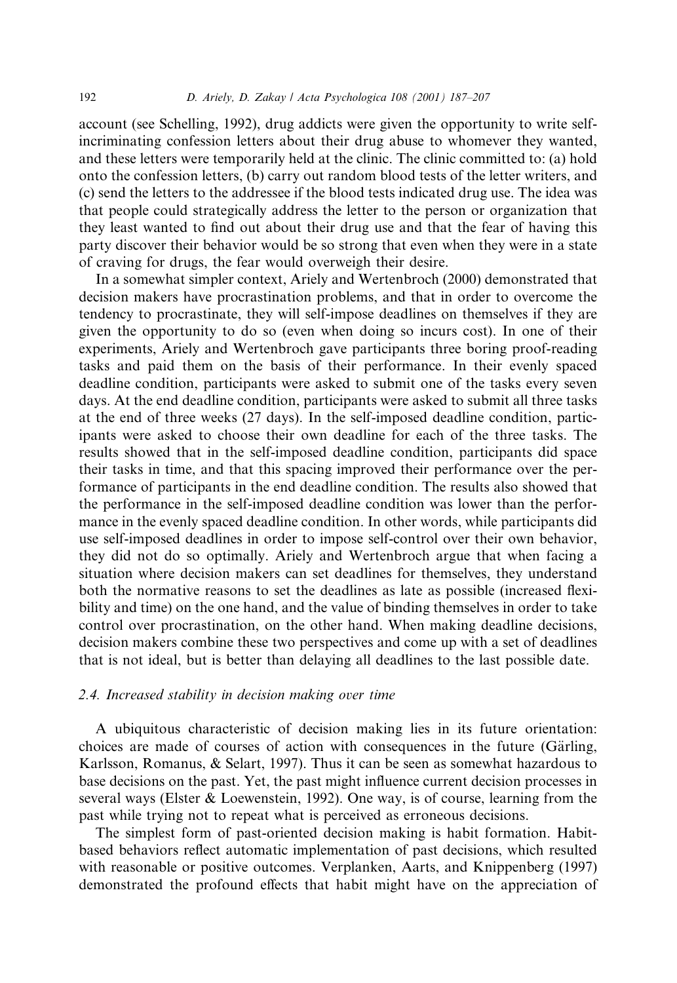account (see Schelling, 1992), drug addicts were given the opportunity to write selfincriminating confession letters about their drug abuse to whomever they wanted, and these letters were temporarily held at the clinic. The clinic committed to: (a) hold onto the confession letters, (b) carry out random blood tests of the letter writers, and (c) send the letters to the addressee if the blood tests indicated drug use. The idea was that people could strategically address the letter to the person or organization that they least wanted to find out about their drug use and that the fear of having this party discover their behavior would be so strong that even when they were in a state of craving for drugs, the fear would overweigh their desire.

In a somewhat simpler context, Ariely and Wertenbroch (2000) demonstrated that decision makers have procrastination problems, and that in order to overcome the tendency to procrastinate, they will self-impose deadlines on themselves if they are given the opportunity to do so (even when doing so incurs cost). In one of their experiments, Ariely and Wertenbroch gave participants three boring proof-reading tasks and paid them on the basis of their performance. In their evenly spaced deadline condition, participants were asked to submit one of the tasks every seven days. At the end deadline condition, participants were asked to submit all three tasks at the end of three weeks (27 days). In the self-imposed deadline condition, participants were asked to choose their own deadline for each of the three tasks. The results showed that in the self-imposed deadline condition, participants did space their tasks in time, and that this spacing improved their performance over the performance of participants in the end deadline condition. The results also showed that the performance in the self-imposed deadline condition was lower than the performance in the evenly spaced deadline condition. In other words, while participants did use self-imposed deadlines in order to impose self-control over their own behavior, they did not do so optimally. Ariely and Wertenbroch argue that when facing a situation where decision makers can set deadlines for themselves, they understand both the normative reasons to set the deadlines as late as possible (increased flexibility and time) on the one hand, and the value of binding themselves in order to take control over procrastination, on the other hand. When making deadline decisions, decision makers combine these two perspectives and come up with a set of deadlines that is not ideal, but is better than delaying all deadlines to the last possible date.

### 2.4. Increased stability in decision making over time

A ubiquitous characteristic of decision making lies in its future orientation: choices are made of courses of action with consequences in the future (Gärling, Karlsson, Romanus, & Selart, 1997). Thus it can be seen as somewhat hazardous to base decisions on the past. Yet, the past might influence current decision processes in several ways (Elster & Loewenstein, 1992). One way, is of course, learning from the past while trying not to repeat what is perceived as erroneous decisions.

The simplest form of past-oriented decision making is habit formation. Habitbased behaviors reflect automatic implementation of past decisions, which resulted with reasonable or positive outcomes. Verplanken, Aarts, and Knippenberg (1997) demonstrated the profound effects that habit might have on the appreciation of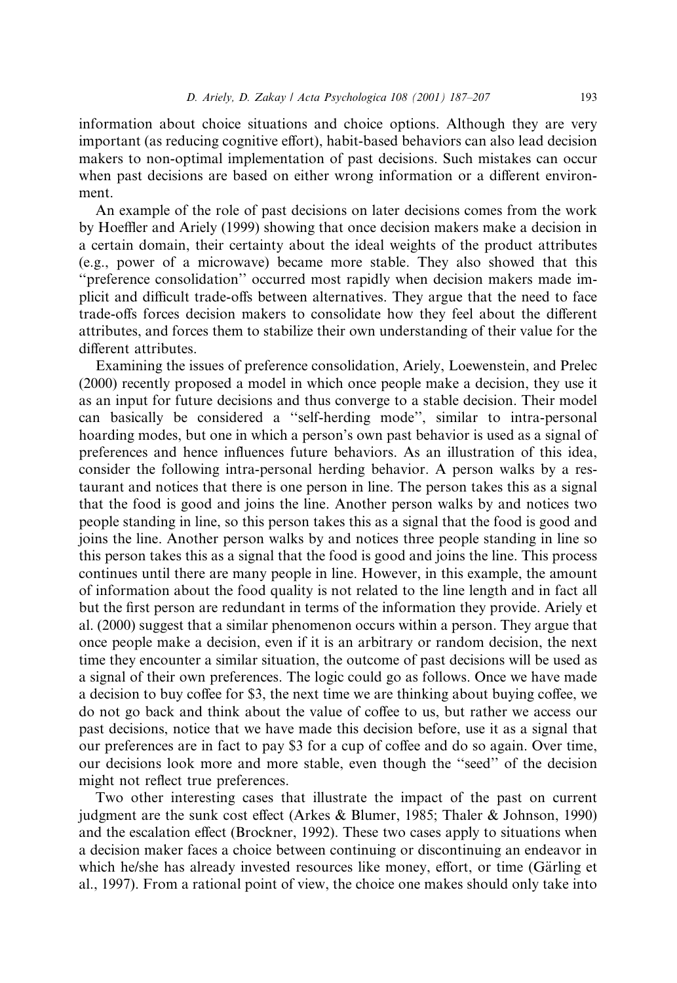information about choice situations and choice options. Although they are very important (as reducing cognitive effort), habit-based behaviors can also lead decision makers to non-optimal implementation of past decisions. Such mistakes can occur when past decisions are based on either wrong information or a different environment.

An example of the role of past decisions on later decisions comes from the work by Hoeffler and Ariely (1999) showing that once decision makers make a decision in a certain domain, their certainty about the ideal weights of the product attributes (e.g., power of a microwave) became more stable. They also showed that this "preference consolidation" occurred most rapidly when decision makers made implicit and difficult trade-offs between alternatives. They argue that the need to face trade-offs forces decision makers to consolidate how they feel about the different attributes, and forces them to stabilize their own understanding of their value for the different attributes.

Examining the issues of preference consolidation, Ariely, Loewenstein, and Prelec (2000) recently proposed a model in which once people make a decision, they use it as an input for future decisions and thus converge to a stable decision. Their model can basically be considered a "self-herding mode", similar to intra-personal hoarding modes, but one in which a person's own past behavior is used as a signal of preferences and hence influences future behaviors. As an illustration of this idea, consider the following intra-personal herding behavior. A person walks by a restaurant and notices that there is one person in line. The person takes this as a signal that the food is good and joins the line. Another person walks by and notices two people standing in line, so this person takes this as a signal that the food is good and joins the line. Another person walks by and notices three people standing in line so this person takes this as a signal that the food is good and joins the line. This process continues until there are many people in line. However, in this example, the amount of information about the food quality is not related to the line length and in fact all but the first person are redundant in terms of the information they provide. Ariely et al. (2000) suggest that a similar phenomenon occurs within a person. They argue that once people make a decision, even if it is an arbitrary or random decision, the next time they encounter a similar situation, the outcome of past decisions will be used as a signal of their own preferences. The logic could go as follows. Once we have made a decision to buy coffee for \$3, the next time we are thinking about buying coffee, we do not go back and think about the value of coffee to us, but rather we access our past decisions, notice that we have made this decision before, use it as a signal that our preferences are in fact to pay \$3 for a cup of coffee and do so again. Over time, our decisions look more and more stable, even though the "seed" of the decision might not reflect true preferences.

Two other interesting cases that illustrate the impact of the past on current judgment are the sunk cost effect (Arkes & Blumer, 1985; Thaler & Johnson, 1990) and the escalation effect (Brockner, 1992). These two cases apply to situations when a decision maker faces a choice between continuing or discontinuing an endeavor in which he/she has already invested resources like money, effort, or time (Gärling et al., 1997). From a rational point of view, the choice one makes should only take into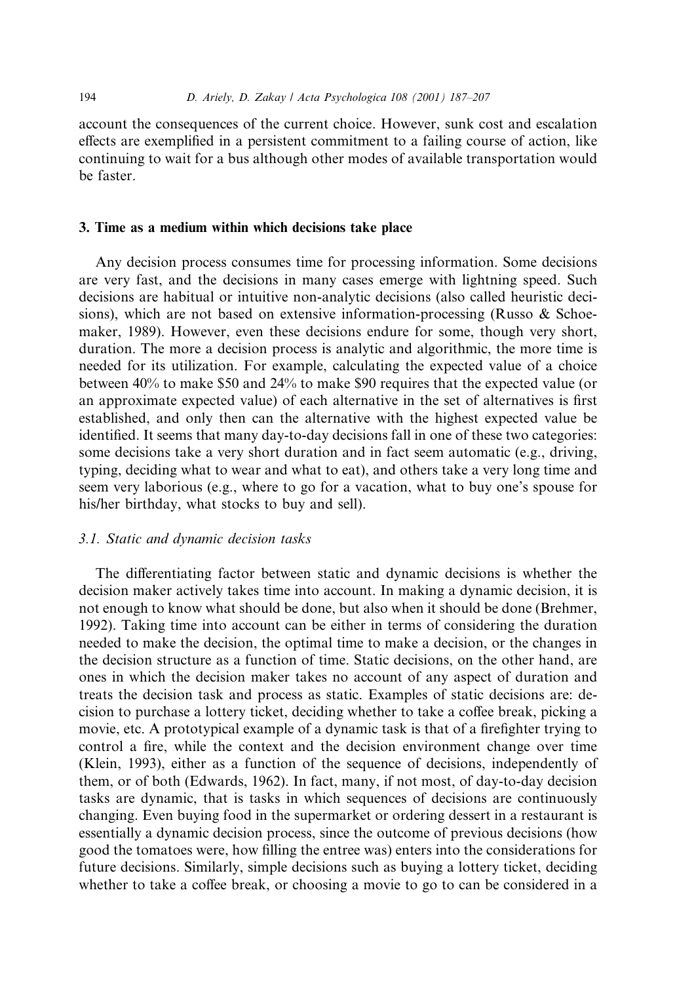account the consequences of the current choice. However, sunk cost and escalation effects are exemplified in a persistent commitment to a failing course of action, like continuing to wait for a bus although other modes of available transportation would be faster.

# 3. Time as a medium within which decisions take place

Any decision process consumes time for processing information. Some decisions are very fast, and the decisions in many cases emerge with lightning speed. Such decisions are habitual or intuitive non-analytic decisions (also called heuristic decisions), which are not based on extensive information-processing (Russo  $\&$  Schoemaker, 1989). However, even these decisions endure for some, though very short, duration. The more a decision process is analytic and algorithmic, the more time is needed for its utilization. For example, calculating the expected value of a choice between 40% to make \$50 and 24% to make \$90 requires that the expected value (or an approximate expected value) of each alternative in the set of alternatives is first established, and only then can the alternative with the highest expected value be identified. It seems that many day-to-day decisions fall in one of these two categories: some decisions take a very short duration and in fact seem automatic (e.g., driving, typing, deciding what to wear and what to eat), and others take a very long time and seem very laborious (e.g., where to go for a vacation, what to buy one's spouse for his/her birthday, what stocks to buy and sell).

### 3.1. Static and dynamic decision tasks

The differentiating factor between static and dynamic decisions is whether the decision maker actively takes time into account. In making a dynamic decision, it is not enough to know what should be done, but also when it should be done (Brehmer, 1992). Taking time into account can be either in terms of considering the duration needed to make the decision, the optimal time to make a decision, or the changes in the decision structure as a function of time. Static decisions, on the other hand, are ones in which the decision maker takes no account of any aspect of duration and treats the decision task and process as static. Examples of static decisions are: decision to purchase a lottery ticket, deciding whether to take a coffee break, picking a movie, etc. A prototypical example of a dynamic task is that of a firefighter trying to control a fire, while the context and the decision environment change over time (Klein, 1993), either as a function of the sequence of decisions, independently of them, or of both (Edwards, 1962). In fact, many, if not most, of day-to-day decision tasks are dynamic, that is tasks in which sequences of decisions are continuously changing. Even buying food in the supermarket or ordering dessert in a restaurant is essentially a dynamic decision process, since the outcome of previous decisions (how good the tomatoes were, how filling the entree was) enters into the considerations for future decisions. Similarly, simple decisions such as buying a lottery ticket, deciding whether to take a coffee break, or choosing a movie to go to can be considered in a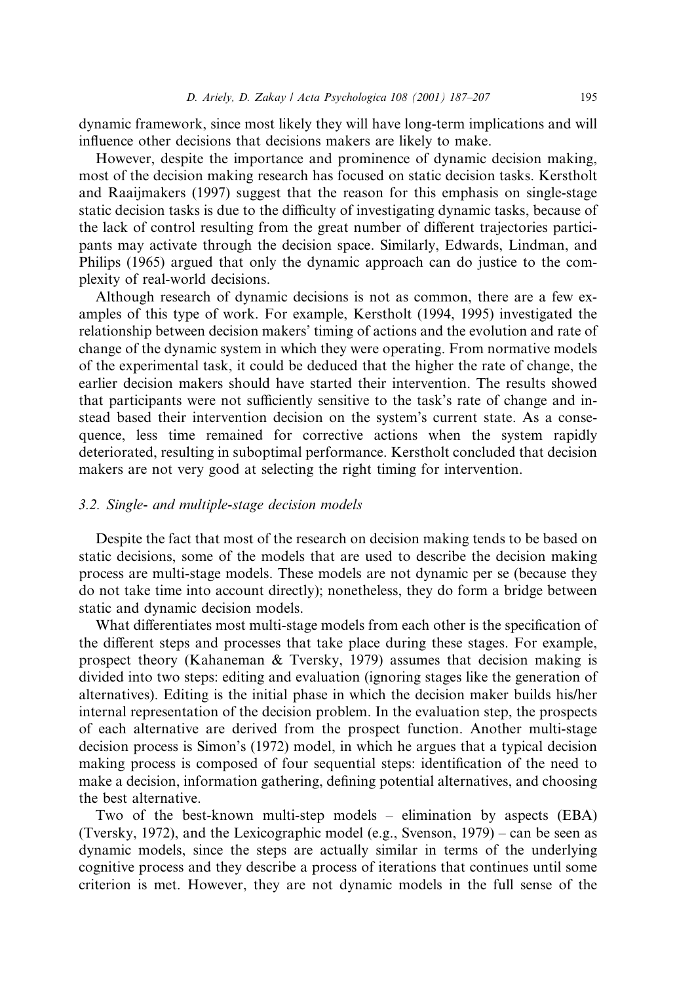dynamic framework, since most likely they will have long-term implications and will influence other decisions that decisions makers are likely to make.

However, despite the importance and prominence of dynamic decision making, most of the decision making research has focused on static decision tasks. Kerstholt and Raaijmakers (1997) suggest that the reason for this emphasis on single-stage static decision tasks is due to the difficulty of investigating dynamic tasks, because of the lack of control resulting from the great number of different trajectories participants may activate through the decision space. Similarly, Edwards, Lindman, and Philips (1965) argued that only the dynamic approach can do justice to the complexity of real-world decisions.

Although research of dynamic decisions is not as common, there are a few examples of this type of work. For example, Kerstholt (1994, 1995) investigated the relationship between decision makers' timing of actions and the evolution and rate of change of the dynamic system in which they were operating. From normative models of the experimental task, it could be deduced that the higher the rate of change, the earlier decision makers should have started their intervention. The results showed that participants were not sufficiently sensitive to the task's rate of change and instead based their intervention decision on the system's current state. As a consequence, less time remained for corrective actions when the system rapidly deteriorated, resulting in suboptimal performance. Kerstholt concluded that decision makers are not very good at selecting the right timing for intervention.

# 3.2. Single- and multiple-stage decision models

Despite the fact that most of the research on decision making tends to be based on static decisions, some of the models that are used to describe the decision making process are multi-stage models. These models are not dynamic per se (because they do not take time into account directly); nonetheless, they do form a bridge between static and dynamic decision models.

What differentiates most multi-stage models from each other is the specification of the different steps and processes that take place during these stages. For example, prospect theory (Kahaneman  $\&$  Tversky, 1979) assumes that decision making is divided into two steps: editing and evaluation (ignoring stages like the generation of alternatives). Editing is the initial phase in which the decision maker builds his/her internal representation of the decision problem. In the evaluation step, the prospects of each alternative are derived from the prospect function. Another multi-stage decision process is Simon's (1972) model, in which he argues that a typical decision making process is composed of four sequential steps: identification of the need to make a decision, information gathering, defining potential alternatives, and choosing the best alternative.

Two of the best-known multi-step models – elimination by aspects (EBA) (Tversky, 1972), and the Lexicographic model (e.g., Svenson, 1979) – can be seen as dynamic models, since the steps are actually similar in terms of the underlying cognitive process and they describe a process of iterations that continues until some criterion is met. However, they are not dynamic models in the full sense of the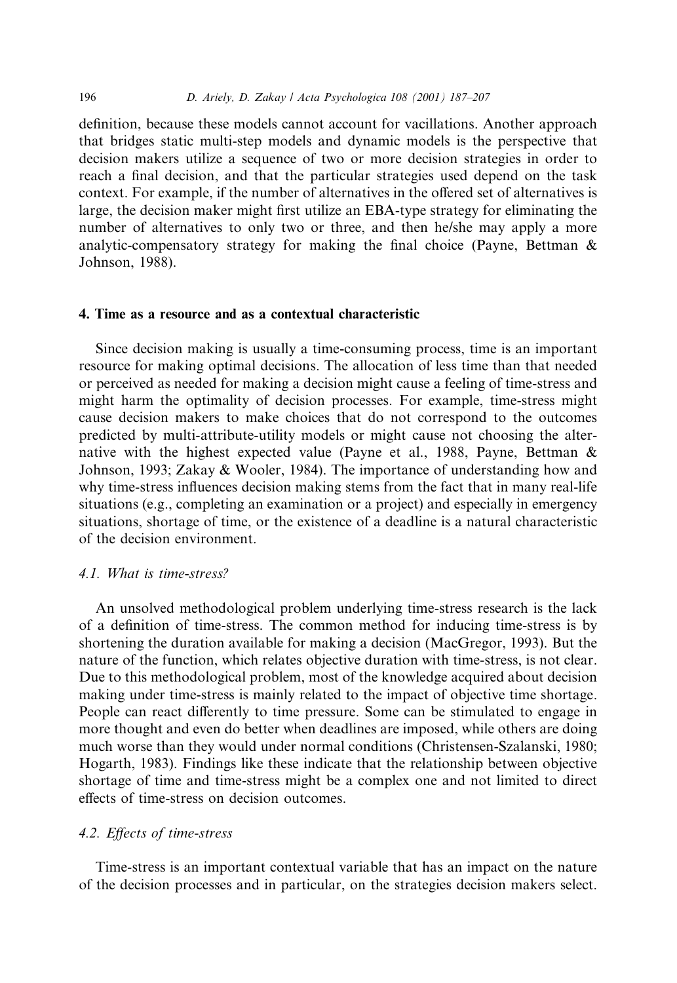definition, because these models cannot account for vacillations. Another approach that bridges static multi-step models and dynamic models is the perspective that decision makers utilize a sequence of two or more decision strategies in order to reach a final decision, and that the particular strategies used depend on the task context. For example, if the number of alternatives in the offered set of alternatives is large, the decision maker might first utilize an EBA-type strategy for eliminating the number of alternatives to only two or three, and then he/she may apply a more analytic-compensatory strategy for making the final choice (Payne, Bettman  $\&$ Johnson, 1988).

#### 4. Time as a resource and as a contextual characteristic

Since decision making is usually a time-consuming process, time is an important resource for making optimal decisions. The allocation of less time than that needed or perceived as needed for making a decision might cause a feeling of time-stress and might harm the optimality of decision processes. For example, time-stress might cause decision makers to make choices that do not correspond to the outcomes predicted by multi-attribute-utility models or might cause not choosing the alternative with the highest expected value (Payne et al., 1988, Payne, Bettman & Johnson, 1993; Zakay & Wooler, 1984). The importance of understanding how and why time-stress influences decision making stems from the fact that in many real-life situations (e.g., completing an examination or a project) and especially in emergency situations, shortage of time, or the existence of a deadline is a natural characteristic of the decision environment.

#### 4.1. What is time-stress?

An unsolved methodological problem underlying time-stress research is the lack of a definition of time-stress. The common method for inducing time-stress is by shortening the duration available for making a decision (MacGregor, 1993). But the nature of the function, which relates objective duration with time-stress, is not clear. Due to this methodological problem, most of the knowledge acquired about decision making under time-stress is mainly related to the impact of objective time shortage. People can react differently to time pressure. Some can be stimulated to engage in more thought and even do better when deadlines are imposed, while others are doing much worse than they would under normal conditions (Christensen-Szalanski, 1980; Hogarth, 1983). Findings like these indicate that the relationship between objective shortage of time and time-stress might be a complex one and not limited to direct effects of time-stress on decision outcomes.

### 4.2. Effects of time-stress

Time-stress is an important contextual variable that has an impact on the nature of the decision processes and in particular, on the strategies decision makers select.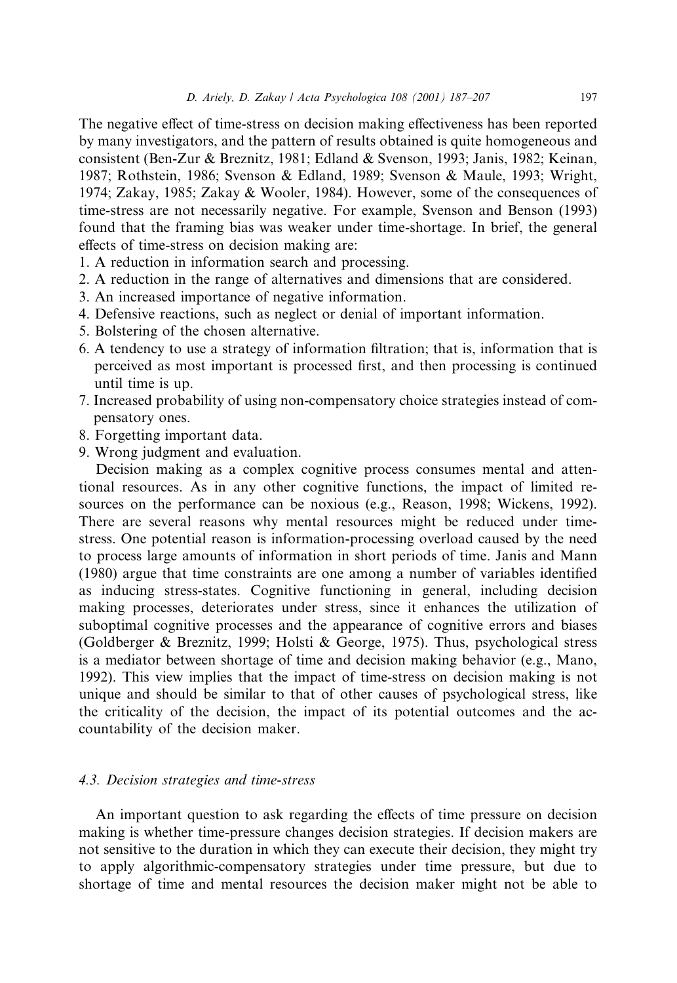The negative effect of time-stress on decision making effectiveness has been reported by many investigators, and the pattern of results obtained is quite homogeneous and consistent (Ben-Zur & Breznitz, 1981; Edland & Svenson, 1993; Janis, 1982; Keinan, 1987; Rothstein, 1986; Svenson & Edland, 1989; Svenson & Maule, 1993; Wright, 1974; Zakay, 1985; Zakay & Wooler, 1984). However, some of the consequences of time-stress are not necessarily negative. For example, Svenson and Benson (1993) found that the framing bias was weaker under time-shortage. In brief, the general effects of time-stress on decision making are:

- 1. A reduction in information search and processing.
- 2. A reduction in the range of alternatives and dimensions that are considered.
- 3. An increased importance of negative information.
- 4. Defensive reactions, such as neglect or denial of important information.
- 5. Bolstering of the chosen alternative.
- 6. A tendency to use a strategy of information filtration; that is, information that is perceived as most important is processed first, and then processing is continued until time is up.
- 7. Increased probability of using non-compensatory choice strategies instead of compensatory ones.
- 8. Forgetting important data.
- 9. Wrong judgment and evaluation.

Decision making as a complex cognitive process consumes mental and attentional resources. As in any other cognitive functions, the impact of limited resources on the performance can be noxious (e.g., Reason, 1998; Wickens, 1992). There are several reasons why mental resources might be reduced under timestress. One potential reason is information-processing overload caused by the need to process large amounts of information in short periods of time. Janis and Mann (1980) argue that time constraints are one among a number of variables identified as inducing stress-states. Cognitive functioning in general, including decision making processes, deteriorates under stress, since it enhances the utilization of suboptimal cognitive processes and the appearance of cognitive errors and biases (Goldberger & Breznitz, 1999; Holsti & George, 1975). Thus, psychological stress is a mediator between shortage of time and decision making behavior (e.g., Mano, 1992). This view implies that the impact of time-stress on decision making is not unique and should be similar to that of other causes of psychological stress, like the criticality of the decision, the impact of its potential outcomes and the accountability of the decision maker.

## 4.3. Decision strategies and time-stress

An important question to ask regarding the effects of time pressure on decision making is whether time-pressure changes decision strategies. If decision makers are not sensitive to the duration in which they can execute their decision, they might try to apply algorithmic-compensatory strategies under time pressure, but due to shortage of time and mental resources the decision maker might not be able to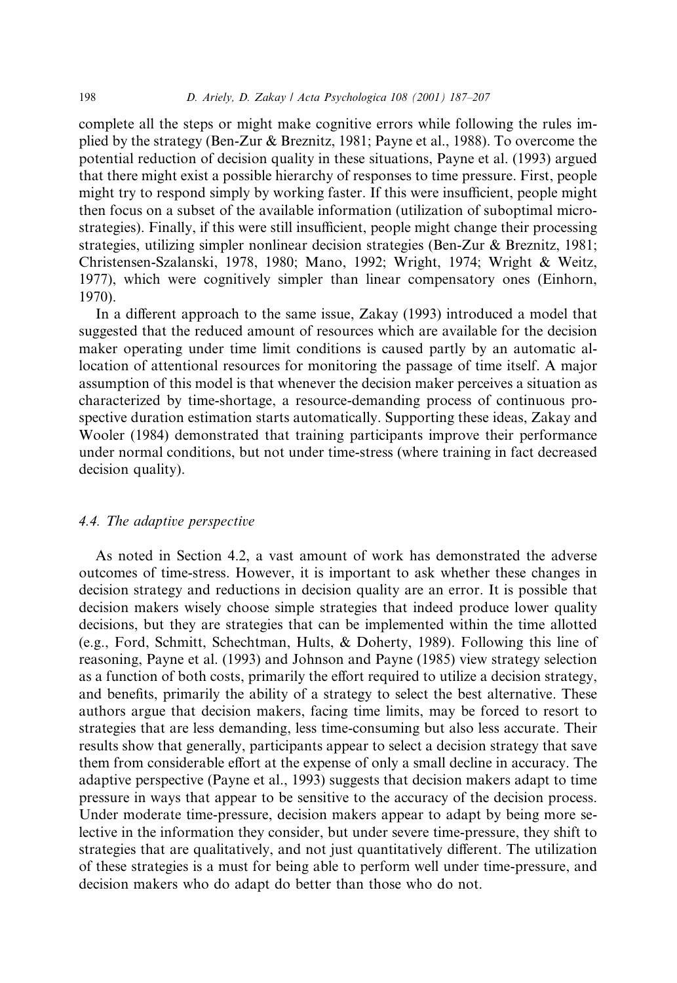complete all the steps or might make cognitive errors while following the rules implied by the strategy (Ben-Zur & Breznitz, 1981; Payne et al., 1988). To overcome the potential reduction of decision quality in these situations, Payne et al. (1993) argued that there might exist a possible hierarchy of responses to time pressure. First, people might try to respond simply by working faster. If this were insufficient, people might then focus on a subset of the available information (utilization of suboptimal microstrategies). Finally, if this were still insufficient, people might change their processing strategies, utilizing simpler nonlinear decision strategies (Ben-Zur & Breznitz, 1981; Christensen-Szalanski, 1978, 1980; Mano, 1992; Wright, 1974; Wright & Weitz, 1977), which were cognitively simpler than linear compensatory ones (Einhorn,  $1970$ ).

In a different approach to the same issue, Zakay (1993) introduced a model that suggested that the reduced amount of resources which are available for the decision maker operating under time limit conditions is caused partly by an automatic allocation of attentional resources for monitoring the passage of time itself. A major assumption of this model is that whenever the decision maker perceives a situation as characterized by time-shortage, a resource-demanding process of continuous prospective duration estimation starts automatically. Supporting these ideas, Zakay and Wooler (1984) demonstrated that training participants improve their performance under normal conditions, but not under time-stress (where training in fact decreased decision quality).

#### 4.4. The adaptive perspective

As noted in Section 4.2, a vast amount of work has demonstrated the adverse outcomes of time-stress. However, it is important to ask whether these changes in decision strategy and reductions in decision quality are an error. It is possible that decision makers wisely choose simple strategies that indeed produce lower quality decisions, but they are strategies that can be implemented within the time allotted (e.g., Ford, Schmitt, Schechtman, Hults, & Doherty, 1989). Following this line of reasoning, Payne et al. (1993) and Johnson and Payne (1985) view strategy selection as a function of both costs, primarily the effort required to utilize a decision strategy, and benefits, primarily the ability of a strategy to select the best alternative. These authors argue that decision makers, facing time limits, may be forced to resort to strategies that are less demanding, less time-consuming but also less accurate. Their results show that generally, participants appear to select a decision strategy that save them from considerable effort at the expense of only a small decline in accuracy. The adaptive perspective (Payne et al., 1993) suggests that decision makers adapt to time pressure in ways that appear to be sensitive to the accuracy of the decision process. Under moderate time-pressure, decision makers appear to adapt by being more selective in the information they consider, but under severe time-pressure, they shift to strategies that are qualitatively, and not just quantitatively different. The utilization of these strategies is a must for being able to perform well under time-pressure, and decision makers who do adapt do better than those who do not.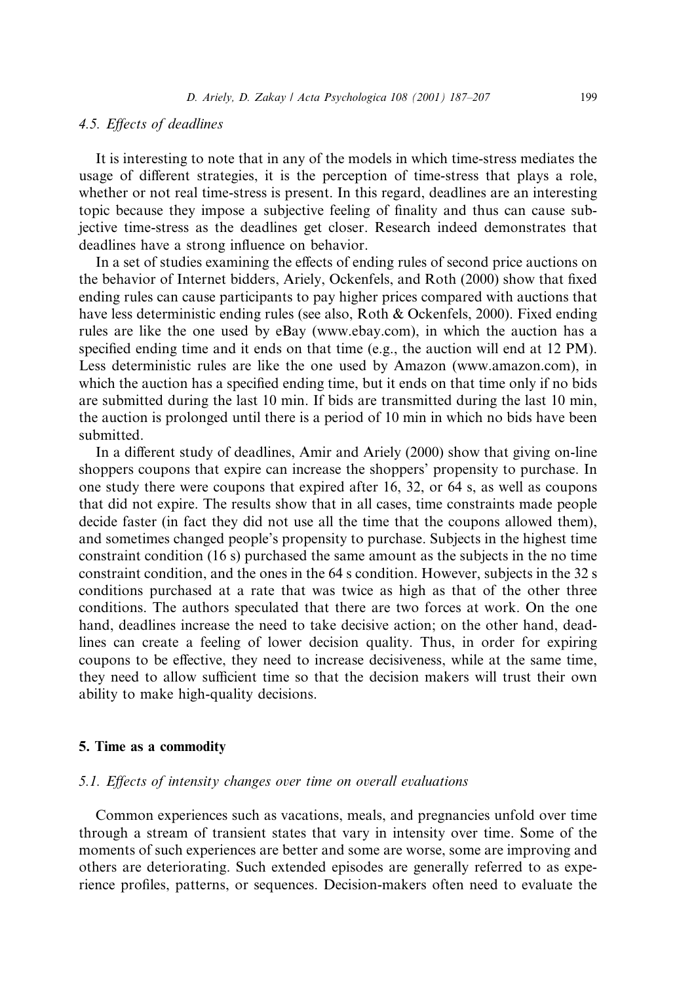#### 4.5. Effects of deadlines

It is interesting to note that in any of the models in which time-stress mediates the usage of different strategies, it is the perception of time-stress that plays a role, whether or not real time-stress is present. In this regard, deadlines are an interesting topic because they impose a subjective feeling of finality and thus can cause subjective time-stress as the deadlines get closer. Research indeed demonstrates that deadlines have a strong influence on behavior.

In a set of studies examining the effects of ending rules of second price auctions on the behavior of Internet bidders, Ariely, Ockenfels, and Roth (2000) show that fixed ending rules can cause participants to pay higher prices compared with auctions that have less deterministic ending rules (see also, Roth  $\&$  Ockenfels, 2000). Fixed ending rules are like the one used by eBay (www.ebay.com), in which the auction has a specified ending time and it ends on that time (e.g., the auction will end at 12 PM). Less deterministic rules are like the one used by Amazon (www.amazon.com), in which the auction has a specified ending time, but it ends on that time only if no bids are submitted during the last 10 min. If bids are transmitted during the last 10 min, the auction is prolonged until there is a period of 10 min in which no bids have been submitted.

In a different study of deadlines, Amir and Ariely (2000) show that giving on-line shoppers coupons that expire can increase the shoppers' propensity to purchase. In one study there were coupons that expired after 16, 32, or 64 s, as well as coupons that did not expire. The results show that in all cases, time constraints made people decide faster (in fact they did not use all the time that the coupons allowed them), and sometimes changed people's propensity to purchase. Subjects in the highest time constraint condition (16 s) purchased the same amount as the subjects in the no time constraint condition, and the ones in the 64 s condition. However, subjects in the 32 s conditions purchased at a rate that was twice as high as that of the other three conditions. The authors speculated that there are two forces at work. On the one hand, deadlines increase the need to take decisive action; on the other hand, deadlines can create a feeling of lower decision quality. Thus, in order for expiring coupons to be effective, they need to increase decisiveness, while at the same time, they need to allow sufficient time so that the decision makers will trust their own ability to make high-quality decisions.

#### 5. Time as a commodity

## 5.1. Effects of intensity changes over time on overall evaluations

Common experiences such as vacations, meals, and pregnancies unfold over time through a stream of transient states that vary in intensity over time. Some of the moments of such experiences are better and some are worse, some are improving and others are deteriorating. Such extended episodes are generally referred to as experience profiles, patterns, or sequences. Decision-makers often need to evaluate the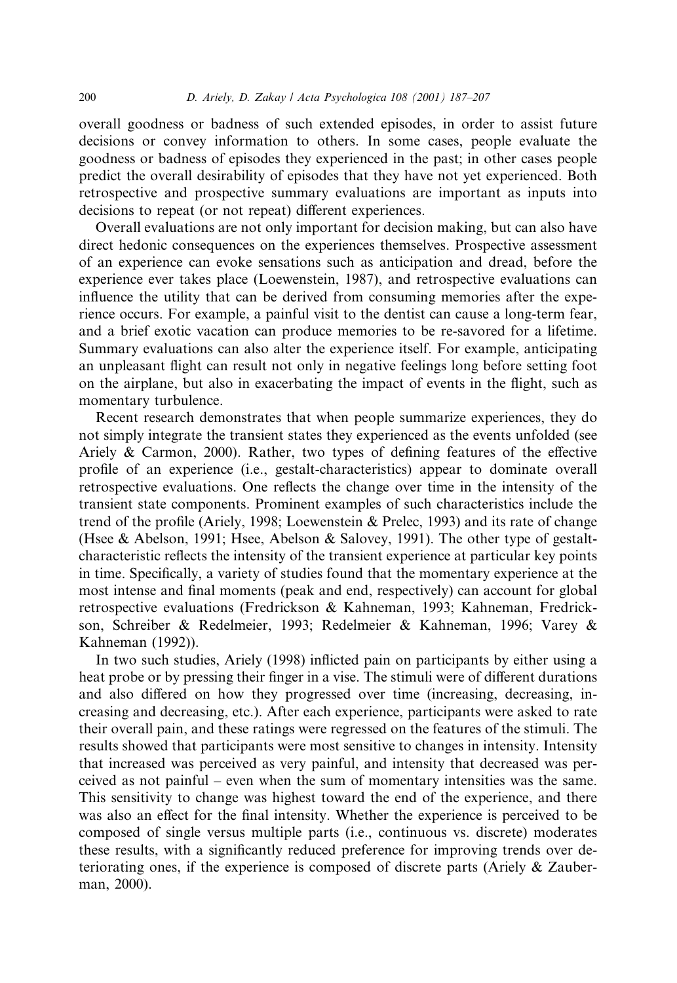overall goodness or badness of such extended episodes, in order to assist future decisions or convey information to others. In some cases, people evaluate the goodness or badness of episodes they experienced in the past; in other cases people predict the overall desirability of episodes that they have not yet experienced. Both retrospective and prospective summary evaluations are important as inputs into decisions to repeat (or not repeat) different experiences.

Overall evaluations are not only important for decision making, but can also have direct hedonic consequences on the experiences themselves. Prospective assessment of an experience can evoke sensations such as anticipation and dread, before the experience ever takes place (Loewenstein, 1987), and retrospective evaluations can influence the utility that can be derived from consuming memories after the experience occurs. For example, a painful visit to the dentist can cause a long-term fear, and a brief exotic vacation can produce memories to be re-savored for a lifetime. Summary evaluations can also alter the experience itself. For example, anticipating an unpleasant flight can result not only in negative feelings long before setting foot on the airplane, but also in exacerbating the impact of events in the flight, such as momentary turbulence.

Recent research demonstrates that when people summarize experiences, they do not simply integrate the transient states they experienced as the events unfolded (see Ariely & Carmon, 2000). Rather, two types of defining features of the effective profile of an experience (i.e., gestalt-characteristics) appear to dominate overall retrospective evaluations. One reflects the change over time in the intensity of the transient state components. Prominent examples of such characteristics include the trend of the profile (Ariely, 1998; Loewenstein & Prelec, 1993) and its rate of change (Hsee & Abelson, 1991; Hsee, Abelson & Salovey, 1991). The other type of gestaltcharacteristic reflects the intensity of the transient experience at particular key points in time. Specifically, a variety of studies found that the momentary experience at the most intense and final moments (peak and end, respectively) can account for global retrospective evaluations (Fredrickson & Kahneman, 1993; Kahneman, Fredrickson, Schreiber & Redelmeier, 1993; Redelmeier & Kahneman, 1996; Varey & Kahneman (1992)).

In two such studies, Ariely (1998) inflicted pain on participants by either using a heat probe or by pressing their finger in a vise. The stimuli were of different durations and also differed on how they progressed over time (increasing, decreasing, increasing and decreasing, etc.). After each experience, participants were asked to rate their overall pain, and these ratings were regressed on the features of the stimuli. The results showed that participants were most sensitive to changes in intensity. Intensity that increased was perceived as very painful, and intensity that decreased was perceived as not painful – even when the sum of momentary intensities was the same. This sensitivity to change was highest toward the end of the experience, and there was also an effect for the final intensity. Whether the experience is perceived to be composed of single versus multiple parts (i.e., continuous vs. discrete) moderates these results, with a significantly reduced preference for improving trends over deteriorating ones, if the experience is composed of discrete parts (Ariely  $\&$  Zauberman. 2000).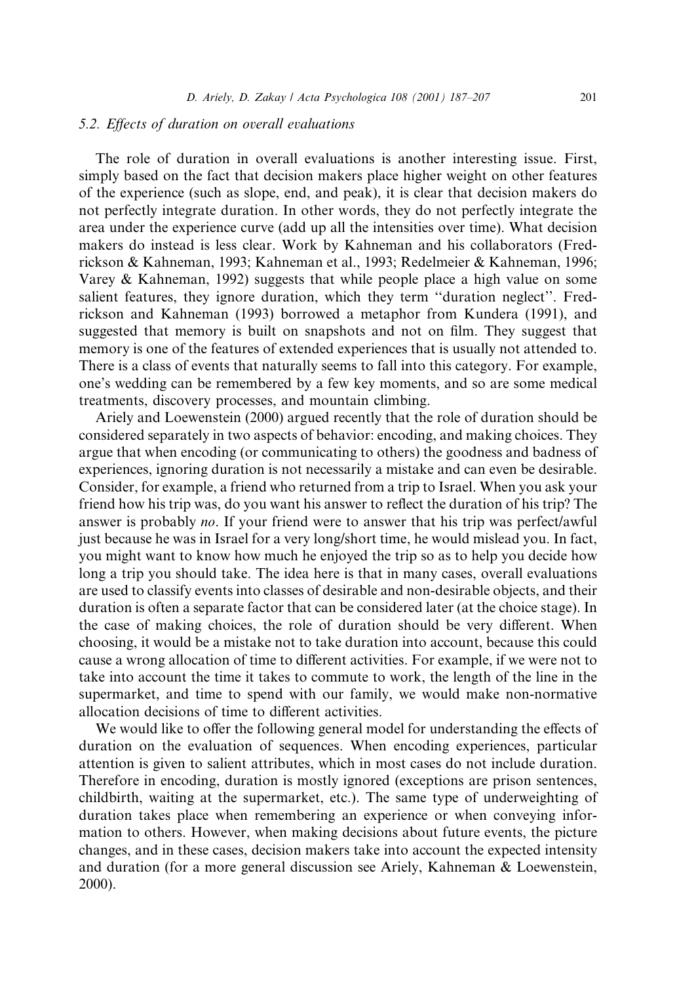#### 5.2. Effects of duration on overall evaluations

The role of duration in overall evaluations is another interesting issue. First, simply based on the fact that decision makers place higher weight on other features of the experience (such as slope, end, and peak), it is clear that decision makers do not perfectly integrate duration. In other words, they do not perfectly integrate the area under the experience curve (add up all the intensities over time). What decision makers do instead is less clear. Work by Kahneman and his collaborators (Fredrickson & Kahneman, 1993; Kahneman et al., 1993; Redelmeier & Kahneman, 1996; Varey & Kahneman, 1992) suggests that while people place a high value on some salient features, they ignore duration, which they term "duration neglect". Fredrickson and Kahneman (1993) borrowed a metaphor from Kundera (1991), and suggested that memory is built on snapshots and not on film. They suggest that memory is one of the features of extended experiences that is usually not attended to. There is a class of events that naturally seems to fall into this category. For example, one's wedding can be remembered by a few key moments, and so are some medical treatments, discovery processes, and mountain climbing.

Ariely and Loewenstein (2000) argued recently that the role of duration should be considered separately in two aspects of behavior: encoding, and making choices. They argue that when encoding (or communicating to others) the goodness and badness of experiences, ignoring duration is not necessarily a mistake and can even be desirable. Consider, for example, a friend who returned from a trip to Israel. When you ask your friend how his trip was, do you want his answer to reflect the duration of his trip? The answer is probably no. If your friend were to answer that his trip was perfect/awful just because he was in Israel for a very long/short time, he would mislead you. In fact, you might want to know how much he enjoyed the trip so as to help you decide how long a trip you should take. The idea here is that in many cases, overall evaluations are used to classify events into classes of desirable and non-desirable objects, and their duration is often a separate factor that can be considered later (at the choice stage). In the case of making choices, the role of duration should be very different. When choosing, it would be a mistake not to take duration into account, because this could cause a wrong allocation of time to different activities. For example, if we were not to take into account the time it takes to commute to work, the length of the line in the supermarket, and time to spend with our family, we would make non-normative allocation decisions of time to different activities.

We would like to offer the following general model for understanding the effects of duration on the evaluation of sequences. When encoding experiences, particular attention is given to salient attributes, which in most cases do not include duration. Therefore in encoding, duration is mostly ignored (exceptions are prison sentences, childbirth, waiting at the supermarket, etc.). The same type of underweighting of duration takes place when remembering an experience or when conveying information to others. However, when making decisions about future events, the picture changes, and in these cases, decision makers take into account the expected intensity and duration (for a more general discussion see Ariely, Kahneman & Loewenstein, 2000).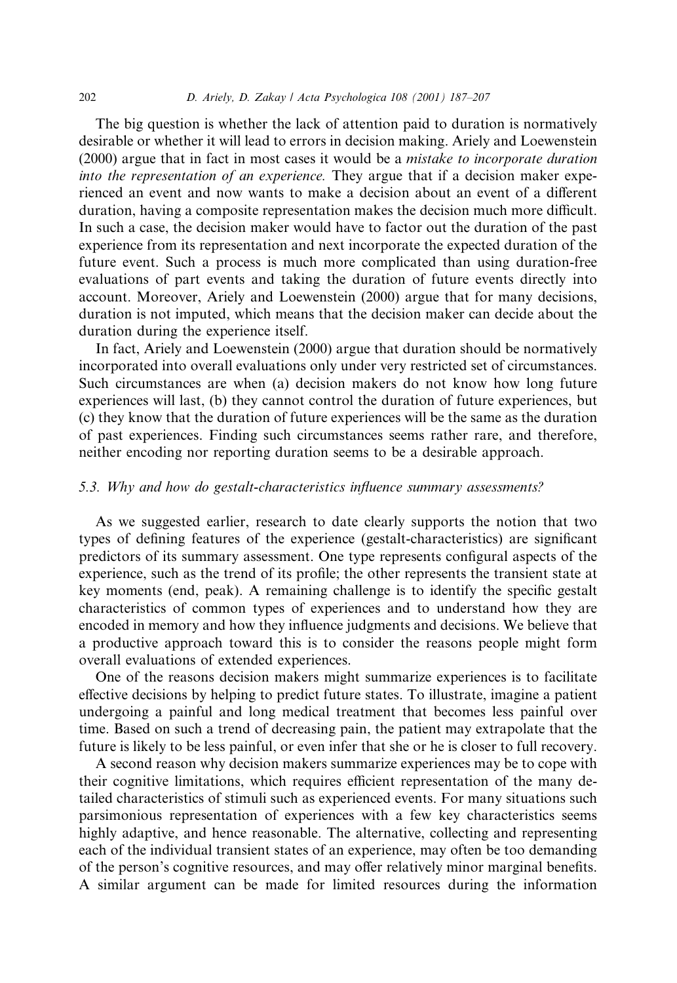The big question is whether the lack of attention paid to duration is normatively desirable or whether it will lead to errors in decision making. Ariely and Loewenstein (2000) argue that in fact in most cases it would be a *mistake to incorporate duration* into the representation of an experience. They argue that if a decision maker experienced an event and now wants to make a decision about an event of a different duration, having a composite representation makes the decision much more difficult. In such a case, the decision maker would have to factor out the duration of the past experience from its representation and next incorporate the expected duration of the future event. Such a process is much more complicated than using duration-free evaluations of part events and taking the duration of future events directly into account. Moreover, Ariely and Loewenstein (2000) argue that for many decisions, duration is not imputed, which means that the decision maker can decide about the duration during the experience itself.

In fact, Ariely and Loewenstein (2000) argue that duration should be normatively incorporated into overall evaluations only under very restricted set of circumstances. Such circumstances are when (a) decision makers do not know how long future experiences will last, (b) they cannot control the duration of future experiences, but (c) they know that the duration of future experiences will be the same as the duration of past experiences. Finding such circumstances seems rather rare, and therefore, neither encoding nor reporting duration seems to be a desirable approach.

# 5.3. Why and how do gestalt-characteristics influence summary assessments?

As we suggested earlier, research to date clearly supports the notion that two types of defining features of the experience (gestalt-characteristics) are significant predictors of its summary assessment. One type represents configural aspects of the experience, such as the trend of its profile; the other represents the transient state at key moments (end, peak). A remaining challenge is to identify the specific gestalt characteristics of common types of experiences and to understand how they are encoded in memory and how they influence judgments and decisions. We believe that a productive approach toward this is to consider the reasons people might form overall evaluations of extended experiences.

One of the reasons decision makers might summarize experiences is to facilitate effective decisions by helping to predict future states. To illustrate, imagine a patient undergoing a painful and long medical treatment that becomes less painful over time. Based on such a trend of decreasing pain, the patient may extrapolate that the future is likely to be less painful, or even infer that she or he is closer to full recovery.

A second reason why decision makers summarize experiences may be to cope with their cognitive limitations, which requires efficient representation of the many detailed characteristics of stimuli such as experienced events. For many situations such parsimonious representation of experiences with a few key characteristics seems highly adaptive, and hence reasonable. The alternative, collecting and representing each of the individual transient states of an experience, may often be too demanding of the person's cognitive resources, and may offer relatively minor marginal benefits. A similar argument can be made for limited resources during the information

202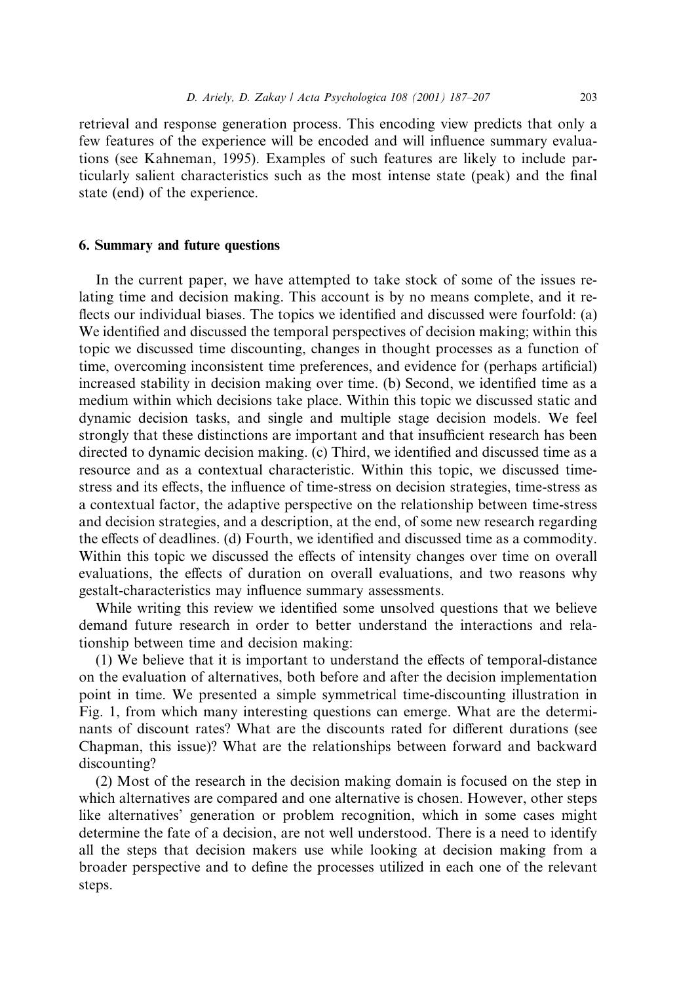retrieval and response generation process. This encoding view predicts that only a few features of the experience will be encoded and will influence summary evaluations (see Kahneman, 1995). Examples of such features are likely to include particularly salient characteristics such as the most intense state (peak) and the final state (end) of the experience.

#### **6. Summary and future questions**

In the current paper, we have attempted to take stock of some of the issues relating time and decision making. This account is by no means complete, and it reflects our individual biases. The topics we identified and discussed were fourfold: (a) We identified and discussed the temporal perspectives of decision making; within this topic we discussed time discounting, changes in thought processes as a function of time, overcoming inconsistent time preferences, and evidence for (perhaps artificial) increased stability in decision making over time. (b) Second, we identified time as a medium within which decisions take place. Within this topic we discussed static and dynamic decision tasks, and single and multiple stage decision models. We feel strongly that these distinctions are important and that insufficient research has been directed to dynamic decision making. (c) Third, we identified and discussed time as a resource and as a contextual characteristic. Within this topic, we discussed timestress and its effects, the influence of time-stress on decision strategies, time-stress as a contextual factor, the adaptive perspective on the relationship between time-stress and decision strategies, and a description, at the end, of some new research regarding the effects of deadlines. (d) Fourth, we identified and discussed time as a commodity. Within this topic we discussed the effects of intensity changes over time on overall evaluations, the effects of duration on overall evaluations, and two reasons why gestalt-characteristics may influence summary assessments.

While writing this review we identified some unsolved questions that we believe demand future research in order to better understand the interactions and relationship between time and decision making:

(1) We believe that it is important to understand the effects of temporal-distance on the evaluation of alternatives, both before and after the decision implementation point in time. We presented a simple symmetrical time-discounting illustration in Fig. 1, from which many interesting questions can emerge. What are the determinants of discount rates? What are the discounts rated for different durations (see Chapman, this issue)? What are the relationships between forward and backward discounting?

(2) Most of the research in the decision making domain is focused on the step in which alternatives are compared and one alternative is chosen. However, other steps like alternatives' generation or problem recognition, which in some cases might determine the fate of a decision, are not well understood. There is a need to identify all the steps that decision makers use while looking at decision making from a broader perspective and to define the processes utilized in each one of the relevant steps.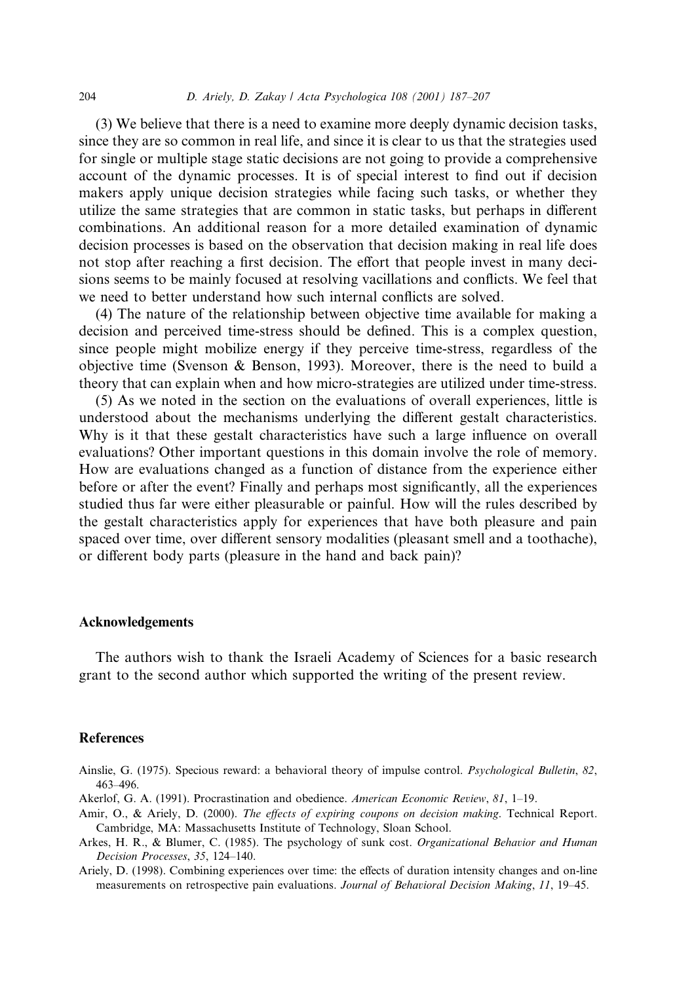(3) We believe that there is a need to examine more deeply dynamic decision tasks, since they are so common in real life, and since it is clear to us that the strategies used for single or multiple stage static decisions are not going to provide a comprehensive account of the dynamic processes. It is of special interest to find out if decision makers apply unique decision strategies while facing such tasks, or whether they utilize the same strategies that are common in static tasks, but perhaps in different combinations. An additional reason for a more detailed examination of dynamic decision processes is based on the observation that decision making in real life does not stop after reaching a first decision. The effort that people invest in many decisions seems to be mainly focused at resolving vacillations and conflicts. We feel that we need to better understand how such internal conflicts are solved.

(4) The nature of the relationship between objective time available for making a decision and perceived time-stress should be defined. This is a complex question, since people might mobilize energy if they perceive time-stress, regardless of the objective time (Svenson & Benson, 1993). Moreover, there is the need to build a theory that can explain when and how micro-strategies are utilized under time-stress.

(5) As we noted in the section on the evaluations of overall experiences, little is understood about the mechanisms underlying the different gestalt characteristics. Why is it that these gestalt characteristics have such a large influence on overall evaluations? Other important questions in this domain involve the role of memory. How are evaluations changed as a function of distance from the experience either before or after the event? Finally and perhaps most significantly, all the experiences studied thus far were either pleasurable or painful. How will the rules described by the gestalt characteristics apply for experiences that have both pleasure and pain spaced over time, over different sensory modalities (pleasant smell and a toothache), or different body parts (pleasure in the hand and back pain)?

#### **Acknowledgements**

The authors wish to thank the Israeli Academy of Sciences for a basic research grant to the second author which supported the writing of the present review.

#### **References**

Ainslie, G. (1975). Specious reward: a behavioral theory of impulse control. *Psychological Bulletin*, 82,  $463 - 496$ .

- Akerlof, G. A. (1991). Procrastination and obedience. American Economic Review, 81, 1–19.
- Amir, O., & Ariely, D. (2000). The effects of expiring coupons on decision making. Technical Report. Cambridge, MA: Massachusetts Institute of Technology, Sloan School.
- Arkes, H. R., & Blumer, C. (1985). The psychology of sunk cost. Organizational Behavior and Human Decision Processes, 35, 124-140.
- Ariely, D. (1998). Combining experiences over time: the effects of duration intensity changes and on-line measurements on retrospective pain evaluations. Journal of Behavioral Decision Making, 11, 19-45.

204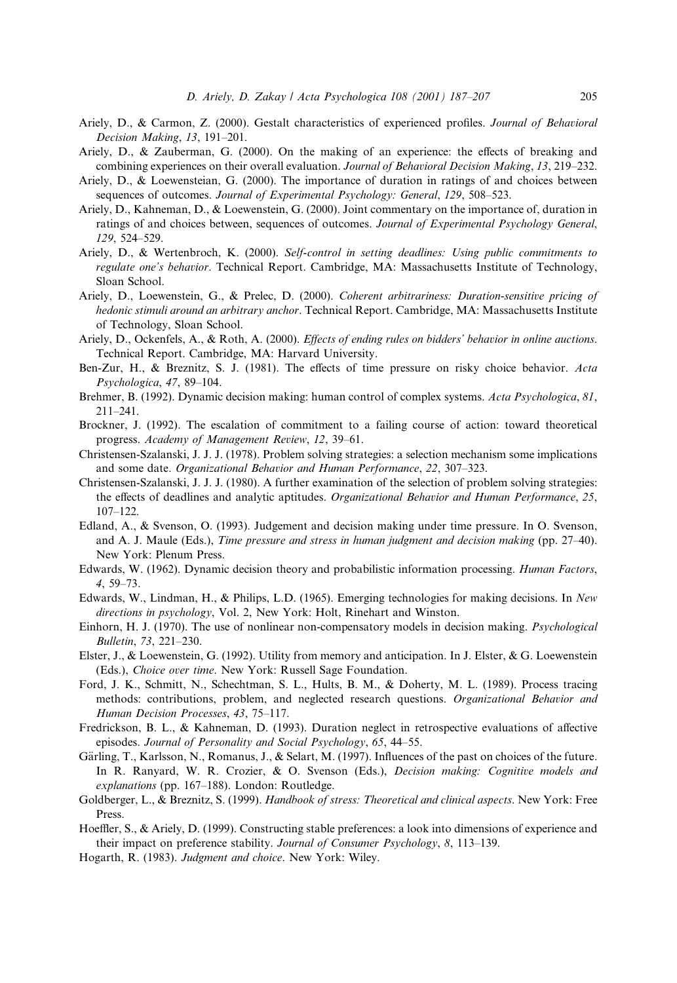- Ariely, D., & Carmon, Z. (2000). Gestalt characteristics of experienced profiles. Journal of Behavioral Decision Making, 13, 191-201.
- Ariely, D., & Zauberman, G. (2000). On the making of an experience: the effects of breaking and combining experiences on their overall evaluation. Journal of Behavioral Decision Making, 13, 219–232.
- Ariely, D., & Loewensteian, G. (2000). The importance of duration in ratings of and choices between sequences of outcomes. Journal of Experimental Psychology: General, 129, 508-523.
- Ariely, D., Kahneman, D., & Loewenstein, G. (2000). Joint commentary on the importance of, duration in ratings of and choices between, sequences of outcomes. Journal of Experimental Psychology General, 129, 524-529.
- Ariely, D., & Wertenbroch, K. (2000). Self-control in setting deadlines: Using public commitments to regulate one's behavior. Technical Report. Cambridge, MA: Massachusetts Institute of Technology, Sloan School.
- Ariely, D., Loewenstein, G., & Prelec, D. (2000). Coherent arbitrariness: Duration-sensitive pricing of hedonic stimuli around an arbitrary anchor. Technical Report. Cambridge, MA: Massachusetts Institute of Technology, Sloan School.
- Ariely, D., Ockenfels, A., & Roth, A. (2000). Effects of ending rules on bidders' behavior in online auctions. Technical Report. Cambridge, MA: Harvard University.
- Ben-Zur, H., & Breznitz, S. J. (1981). The effects of time pressure on risky choice behavior. Acta Psychologica, 47, 89-104.
- Brehmer, B. (1992). Dynamic decision making: human control of complex systems. Acta Psychologica, 81,  $211 - 241$ .
- Brockner, J. (1992). The escalation of commitment to a failing course of action: toward theoretical progress. Academy of Management Review, 12, 39-61.
- Christensen-Szalanski, J. J. J. (1978). Problem solving strategies: a selection mechanism some implications and some date. Organizational Behavior and Human Performance, 22, 307–323.
- Christensen-Szalanski, J. J. J. (1980). A further examination of the selection of problem solving strategies: the effects of deadlines and analytic aptitudes. Organizational Behavior and Human Performance, 25,  $107 - 122$
- Edland, A., & Svenson, O. (1993). Judgement and decision making under time pressure. In O. Svenson, and A. J. Maule (Eds.), *Time pressure and stress in human judgment and decision making* (pp. 27–40). New York: Plenum Press.
- Edwards, W. (1962). Dynamic decision theory and probabilistic information processing. Human Factors,  $4, 59 - 73.$
- Edwards, W., Lindman, H., & Philips, L.D. (1965). Emerging technologies for making decisions. In New directions in psychology, Vol. 2, New York: Holt, Rinehart and Winston.
- Einhorn, H. J. (1970). The use of nonlinear non-compensatory models in decision making. *Psychological* Bulletin, 73, 221-230.
- Elster, J., & Loewenstein, G. (1992). Utility from memory and anticipation. In J. Elster, & G. Loewenstein (Eds.), Choice over time. New York: Russell Sage Foundation.
- Ford, J. K., Schmitt, N., Schechtman, S. L., Hults, B. M., & Doherty, M. L. (1989). Process tracing methods: contributions, problem, and neglected research questions. Organizational Behavior and Human Decision Processes, 43, 75-117.
- Fredrickson, B. L., & Kahneman, D. (1993). Duration neglect in retrospective evaluations of affective episodes. Journal of Personality and Social Psychology, 65, 44–55.
- Gärling, T., Karlsson, N., Romanus, J., & Selart, M. (1997). Influences of the past on choices of the future. In R. Ranyard, W. R. Crozier, & O. Svenson (Eds.), Decision making: Cognitive models and explanations (pp. 167-188). London: Routledge.
- Goldberger, L., & Breznitz, S. (1999). Handbook of stress: Theoretical and clinical aspects. New York: Free Press.
- Hoeffler, S., & Ariely, D. (1999). Constructing stable preferences: a look into dimensions of experience and their impact on preference stability. Journal of Consumer Psychology, 8, 113-139.
- Hogarth, R. (1983). Judgment and choice. New York: Wiley.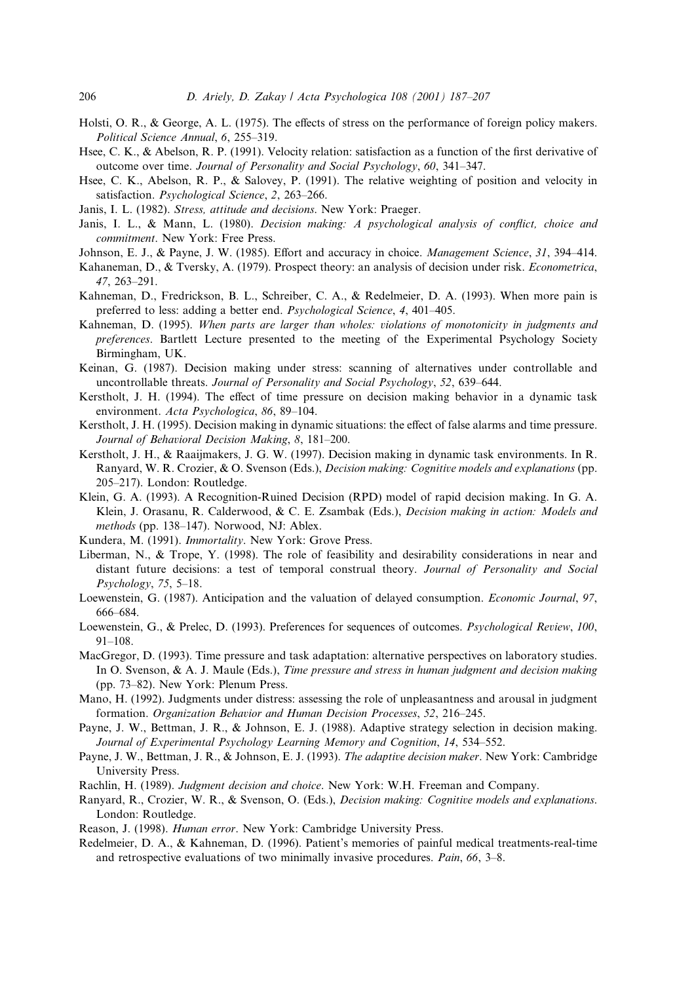- Holsti, O. R., & George, A. L. (1975). The effects of stress on the performance of foreign policy makers. Political Science Annual, 6, 255-319.
- Hsee, C. K., & Abelson, R. P. (1991). Velocity relation: satisfaction as a function of the first derivative of outcome over time. Journal of Personality and Social Psychology, 60, 341–347.
- Hsee, C. K., Abelson, R. P., & Salovey, P. (1991). The relative weighting of position and velocity in satisfaction. Psychological Science, 2, 263-266.
- Janis, I. L. (1982). Stress, attitude and decisions. New York: Praeger.
- Janis, I. L., & Mann, L. (1980). Decision making: A psychological analysis of conflict, choice and commitment. New York: Free Press.
- Johnson, E. J., & Payne, J. W. (1985). Effort and accuracy in choice. Management Science, 31, 394–414.
- Kahaneman, D., & Tversky, A. (1979). Prospect theory: an analysis of decision under risk. Econometrica, 47, 263-291.
- Kahneman, D., Fredrickson, B. L., Schreiber, C. A., & Redelmeier, D. A. (1993). When more pain is preferred to less: adding a better end. *Psychological Science*, 4, 401–405.
- Kahneman, D. (1995). When parts are larger than wholes: violations of monotonicity in judgments and preferences. Bartlett Lecture presented to the meeting of the Experimental Psychology Society Birmingham, UK.
- Keinan, G. (1987). Decision making under stress: scanning of alternatives under controllable and uncontrollable threats. Journal of Personality and Social Psychology, 52, 639–644.
- Kerstholt, J. H. (1994). The effect of time pressure on decision making behavior in a dynamic task environment. Acta Psychologica, 86, 89-104.
- Kerstholt, J. H. (1995). Decision making in dynamic situations: the effect of false alarms and time pressure. Journal of Behavioral Decision Making, 8, 181-200.
- Kerstholt, J. H., & Raaijmakers, J. G. W. (1997). Decision making in dynamic task environments. In R. Ranyard, W. R. Crozier, & O. Svenson (Eds.), *Decision making: Cognitive models and explanations* (pp. 205-217). London: Routledge.
- Klein, G. A. (1993). A Recognition-Ruined Decision (RPD) model of rapid decision making. In G. A. Klein, J. Orasanu, R. Calderwood, & C. E. Zsambak (Eds.), Decision making in action: Models and methods (pp. 138-147). Norwood, NJ: Ablex.
- Kundera, M. (1991). Immortality. New York: Grove Press.
- Liberman, N., & Trope, Y. (1998). The role of feasibility and desirability considerations in near and distant future decisions: a test of temporal construal theory. Journal of Personality and Social Psychology, 75, 5-18.
- Loewenstein, G. (1987). Anticipation and the valuation of delayed consumption. *Economic Journal*, 97, 666-684.
- Loewenstein, G., & Prelec, D. (1993). Preferences for sequences of outcomes. Psychological Review, 100,  $91 - 108.$
- MacGregor, D. (1993). Time pressure and task adaptation: alternative perspectives on laboratory studies. In O. Svenson, & A. J. Maule (Eds.), Time pressure and stress in human judgment and decision making (pp. 73-82). New York: Plenum Press.
- Mano, H. (1992). Judgments under distress: assessing the role of unpleasantness and arousal in judgment formation. Organization Behavior and Human Decision Processes, 52, 216-245.
- Payne, J. W., Bettman, J. R., & Johnson, E. J. (1988). Adaptive strategy selection in decision making. Journal of Experimental Psychology Learning Memory and Cognition, 14, 534–552.
- Payne, J. W., Bettman, J. R., & Johnson, E. J. (1993). The adaptive decision maker. New York: Cambridge University Press.
- Rachlin, H. (1989). Judgment decision and choice. New York: W.H. Freeman and Company.
- Ranyard, R., Crozier, W. R., & Svenson, O. (Eds.), Decision making: Cognitive models and explanations. London: Routledge.
- Reason, J. (1998). *Human error*. New York: Cambridge University Press.
- Redelmeier, D. A., & Kahneman, D. (1996). Patient's memories of painful medical treatments-real-time and retrospective evaluations of two minimally invasive procedures. Pain, 66, 3–8.